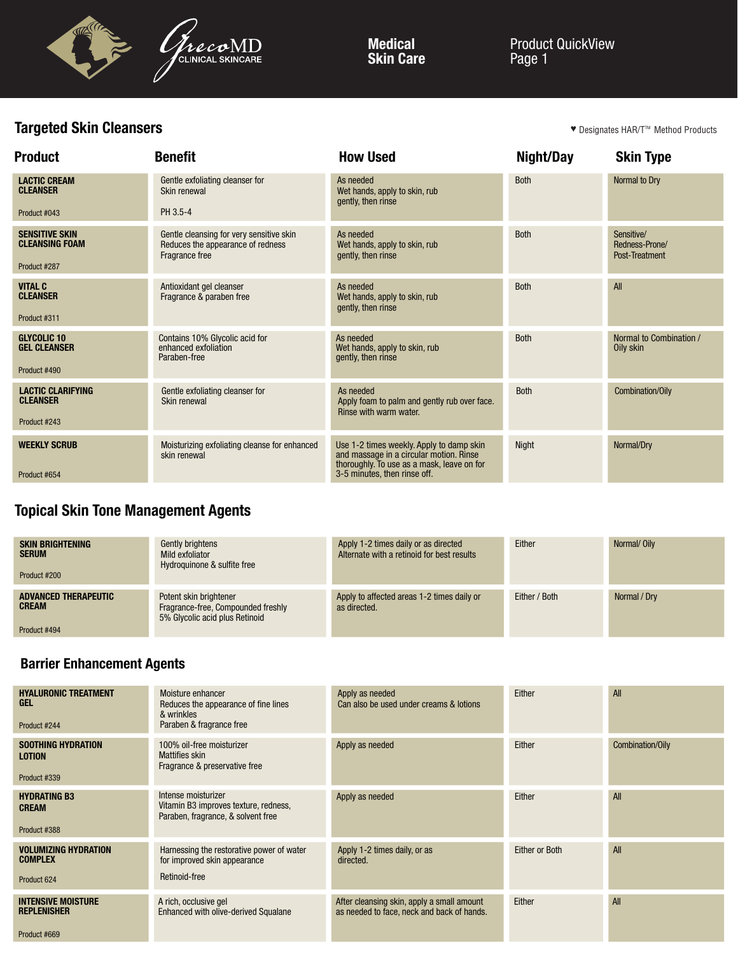

Medical Skin Care Product QuickView Page 1

# Targeted Skin Cleansers

♥ Designates HAR/T<sup>m</sup> Method Products

| <b>Product</b>                                                 | <b>Benefit</b>                                                                                  | <b>How Used</b>                                                                                                                                                   | Night/Day    | <b>Skin Type</b>                               |
|----------------------------------------------------------------|-------------------------------------------------------------------------------------------------|-------------------------------------------------------------------------------------------------------------------------------------------------------------------|--------------|------------------------------------------------|
| <b>LACTIC CREAM</b><br><b>CLEANSER</b>                         | Gentle exfoliating cleanser for<br>Skin renewal                                                 | As needed<br>Wet hands, apply to skin, rub<br>gently, then rinse                                                                                                  | <b>Both</b>  | Normal to Dry                                  |
| Product #043                                                   | PH 3.5-4                                                                                        |                                                                                                                                                                   |              |                                                |
| <b>SENSITIVE SKIN</b><br><b>CLEANSING FOAM</b><br>Product #287 | Gentle cleansing for very sensitive skin<br>Reduces the appearance of redness<br>Fragrance free | As needed<br>Wet hands, apply to skin, rub<br>gently, then rinse                                                                                                  | <b>Both</b>  | Sensitive/<br>Redness-Prone/<br>Post-Treatment |
| <b>VITAL C</b><br><b>CLEANSER</b><br>Product #311              | Antioxidant gel cleanser<br>Fragrance & paraben free                                            | As needed<br>Wet hands, apply to skin, rub<br>gently, then rinse                                                                                                  | <b>Both</b>  | All                                            |
| <b>GLYCOLIC 10</b><br><b>GEL CLEANSER</b><br>Product #490      | Contains 10% Glycolic acid for<br>enhanced exfoliation<br>Paraben-free                          | As needed<br>Wet hands, apply to skin, rub<br>gently, then rinse                                                                                                  | <b>Both</b>  | Normal to Combination /<br>Oily skin           |
| <b>LACTIC CLARIFYING</b><br><b>CLEANSER</b><br>Product #243    | Gentle exfoliating cleanser for<br>Skin renewal                                                 | As needed<br>Apply foam to palm and gently rub over face.<br>Rinse with warm water.                                                                               | <b>Both</b>  | Combination/Oily                               |
| <b>WEEKLY SCRUB</b><br>Product #654                            | Moisturizing exfoliating cleanse for enhanced<br>skin renewal                                   | Use 1-2 times weekly. Apply to damp skin<br>and massage in a circular motion. Rinse<br>thoroughly. To use as a mask, leave on for<br>3-5 minutes, then rinse off. | <b>Night</b> | Normal/Dry                                     |

# Topical Skin Tone Management Agents

| <b>SKIN BRIGHTENING</b><br><b>SERUM</b><br>Product #200     | Gently brightens<br>Mild exfoliator<br>Hydroguinone & sulfite free                             | Apply 1-2 times daily or as directed<br>Alternate with a retinoid for best results | Either        | Normal/Oily  |
|-------------------------------------------------------------|------------------------------------------------------------------------------------------------|------------------------------------------------------------------------------------|---------------|--------------|
| <b>ADVANCED THERAPEUTIC</b><br><b>CREAM</b><br>Product #494 | Potent skin brightener<br>Fragrance-free, Compounded freshly<br>5% Glycolic acid plus Retinoid | Apply to affected areas 1-2 times daily or<br>as directed.                         | Either / Both | Normal / Dry |

## Barrier Enhancement Agents

| <b>HYALURONIC TREATMENT</b><br><b>GEL</b><br>Product #244       | Moisture enhancer<br>Reduces the appearance of fine lines<br>& wrinkles<br>Paraben & fragrance free | Apply as needed<br>Can also be used under creams & lotions                               | Either                | All              |
|-----------------------------------------------------------------|-----------------------------------------------------------------------------------------------------|------------------------------------------------------------------------------------------|-----------------------|------------------|
| <b>SOOTHING HYDRATION</b><br><b>LOTION</b><br>Product #339      | 100% oil-free moisturizer<br><b>Mattifies skin</b><br>Fragrance & preservative free                 | Apply as needed                                                                          | Either                | Combination/Oily |
| <b>HYDRATING B3</b><br><b>CREAM</b><br>Product #388             | Intense moisturizer<br>Vitamin B3 improves texture, redness,<br>Paraben, fragrance, & solvent free  | Apply as needed                                                                          | Either                | All              |
| <b>VOLUMIZING HYDRATION</b><br><b>COMPLEX</b><br>Product 624    | Harnessing the restorative power of water<br>for improved skin appearance<br>Retinoid-free          | Apply 1-2 times daily, or as<br>directed.                                                | <b>Either or Both</b> | All              |
| <b>INTENSIVE MOISTURE</b><br><b>REPLENISHER</b><br>Product #669 | A rich, occlusive gel<br><b>Enhanced with olive-derived Squalane</b>                                | After cleansing skin, apply a small amount<br>as needed to face, neck and back of hands. | Either                | All              |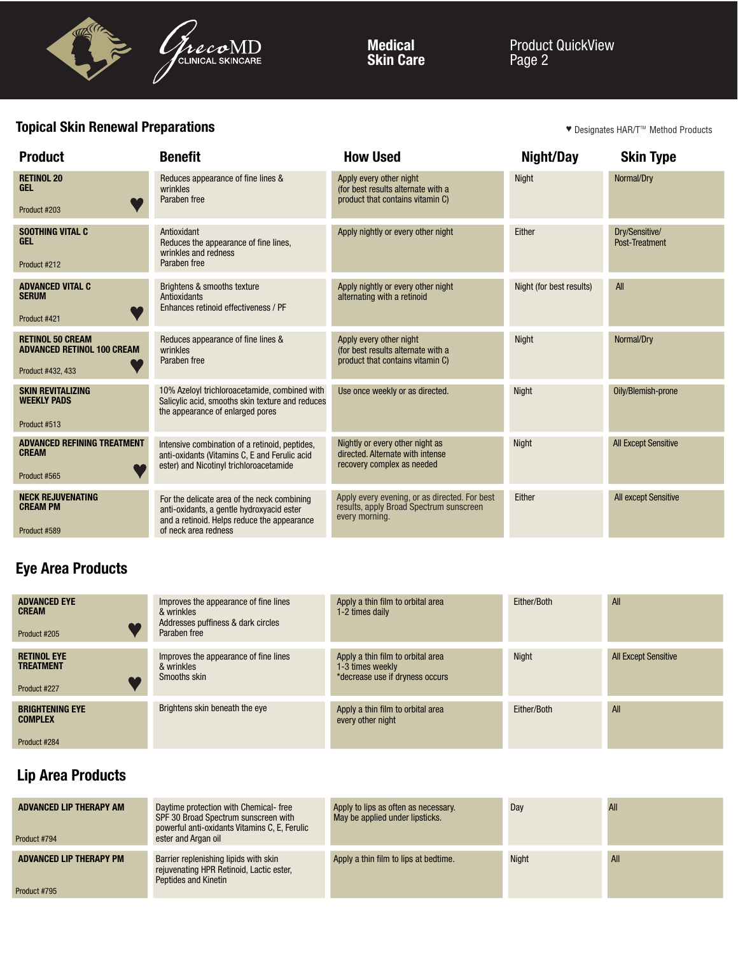

Medical Skin Care Product QuickView Page 2

## **Topical Skin Renewal Preparations Topical Skin Renewal Preparations** The State of the State of the State of the Designates HAR/T<sup>m</sup> Method Products **Topical Skin Renewal Preparations** The State of the State of the Stat

| <b>Product</b>                                                                    | <b>Benefit</b>                                                                                                                                                  | <b>How Used</b>                                                                                            | Night/Day                | <b>Skin Type</b>                 |
|-----------------------------------------------------------------------------------|-----------------------------------------------------------------------------------------------------------------------------------------------------------------|------------------------------------------------------------------------------------------------------------|--------------------------|----------------------------------|
| <b>RETINOL 20</b><br><b>GEL</b><br>Product #203                                   | Reduces appearance of fine lines &<br>wrinkles<br>Paraben free                                                                                                  | Apply every other night<br>(for best results alternate with a<br>product that contains vitamin C)          | <b>Night</b>             | Normal/Dry                       |
| <b>SOOTHING VITAL C</b><br><b>GEL</b><br>Product #212                             | Antioxidant<br>Reduces the appearance of fine lines,<br>wrinkles and redness<br>Paraben free                                                                    | Apply nightly or every other night                                                                         | Either                   | Dry/Sensitive/<br>Post-Treatment |
| <b>ADVANCED VITAL C</b><br><b>SERUM</b><br>Product #421                           | Brightens & smooths texture<br>Antioxidants<br>Enhances retinoid effectiveness / PF                                                                             | Apply nightly or every other night<br>alternating with a retinoid                                          | Night (for best results) | All                              |
| <b>RETINOL 50 CREAM</b><br><b>ADVANCED RETINOL 100 CREAM</b><br>Product #432, 433 | Reduces appearance of fine lines &<br>wrinkles<br>Paraben free                                                                                                  | Apply every other night<br>(for best results alternate with a<br>product that contains vitamin C)          | <b>Night</b>             | Normal/Dry                       |
| <b>SKIN REVITALIZING</b><br><b>WEEKLY PADS</b><br>Product #513                    | 10% Azeloyl trichloroacetamide, combined with<br>Salicylic acid, smooths skin texture and reduces<br>the appearance of enlarged pores                           | Use once weekly or as directed.                                                                            | <b>Night</b>             | Oily/Blemish-prone               |
| <b>ADVANCED REFINING TREATMENT</b><br><b>CREAM</b><br>Product #565                | Intensive combination of a retinoid, peptides,<br>anti-oxidants (Vitamins C, E and Ferulic acid<br>ester) and Nicotinyl trichloroacetamide                      | Nightly or every other night as<br>directed. Alternate with intense<br>recovery complex as needed          | <b>Night</b>             | <b>All Except Sensitive</b>      |
| <b>NECK REJUVENATING</b><br><b>CREAM PM</b><br>Product #589                       | For the delicate area of the neck combining<br>anti-oxidants, a gentle hydroxyacid ester<br>and a retinoid. Helps reduce the appearance<br>of neck area redness | Apply every evening, or as directed. For best<br>results, apply Broad Spectrum sunscreen<br>every morning. | Either                   | All except Sensitive             |

# Eye Area Products

| <b>ADVANCED EYE</b><br><b>CREAM</b><br>Product #205      | Improves the appearance of fine lines<br>& wrinkles<br>Addresses puffiness & dark circles<br>Paraben free | Apply a thin film to orbital area<br>1-2 times daily                                     | Either/Both | All                         |
|----------------------------------------------------------|-----------------------------------------------------------------------------------------------------------|------------------------------------------------------------------------------------------|-------------|-----------------------------|
| <b>RETINOL EYE</b><br><b>TREATMENT</b><br>Product #227   | Improves the appearance of fine lines<br>& wrinkles<br>Smooths skin                                       | Apply a thin film to orbital area<br>1-3 times weekly<br>*decrease use if dryness occurs | Night       | <b>All Except Sensitive</b> |
| <b>BRIGHTENING EYE</b><br><b>COMPLEX</b><br>Product #284 | Brightens skin beneath the eye                                                                            | Apply a thin film to orbital area<br>every other night                                   | Either/Both | All                         |

## Lip Area Products

| ADVANCED LIP THERAPY AM<br>Product #794        | Daytime protection with Chemical-free<br>SPF 30 Broad Spectrum sunscreen with<br>powerful anti-oxidants Vitamins C, E, Ferulic<br>ester and Argan oil | Apply to lips as often as necessary.<br>May be applied under lipsticks. | Day          | All |
|------------------------------------------------|-------------------------------------------------------------------------------------------------------------------------------------------------------|-------------------------------------------------------------------------|--------------|-----|
| <b>ADVANCED LIP THERAPY PM</b><br>Product #795 | Barrier replenishing lipids with skin<br>rejuvenating HPR Retinoid, Lactic ester,<br>Peptides and Kinetin                                             | Apply a thin film to lips at bedtime.                                   | <b>Night</b> | All |